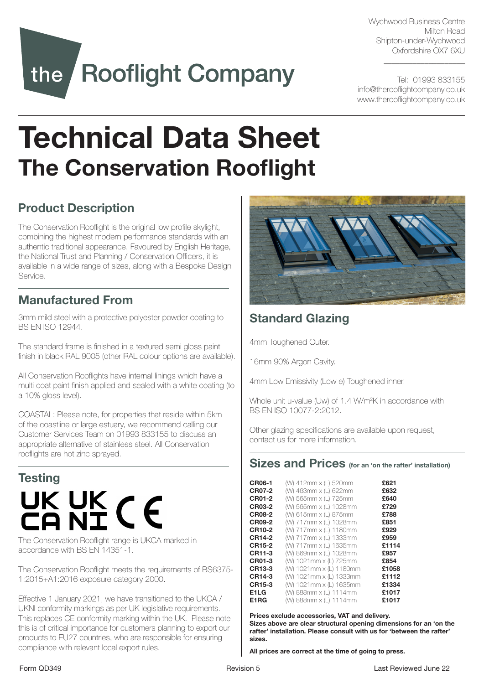Wychwood Business Centre Milton Road Shipton-under-Wychwood Oxfordshire OX7 6XU

 $\_$ 

Tel: 01993 833155 info@therooflightcompany.co.uk www.therooflightcompany.co.uk

# the Rooflight Company

# Technical Data Sheet The Conservation Rooflight

# Product Description

The Conservation Rooflight is the original low profile skylight, combining the highest modern performance standards with an authentic traditional appearance. Favoured by English Heritage, the National Trust and Planning / Conservation Officers, it is available in a wide range of sizes, along with a Bespoke Design Service.

## Manufactured From

3mm mild steel with a protective polyester powder coating to BS EN ISO 12944.

The standard frame is finished in a textured semi gloss paint finish in black RAL 9005 (other RAL colour options are available).

All Conservation Rooflights have internal linings which have a multi coat paint finish applied and sealed with a white coating (to a 10% gloss level).

COASTAL: Please note, for properties that reside within 5km of the coastline or large estuary, we recommend calling our Customer Services Team on 01993 833155 to discuss an appropriate alternative of stainless steel. All Conservation rooflights are hot zinc sprayed.

# **Testing** UK UK CE

The Conservation Rooflight range is UKCA marked in accordance with BS EN 14351-1.

The Conservation Rooflight meets the requirements of BS6375- 1:2015+A1:2016 exposure category 2000.

Effective 1 January 2021, we have transitioned to the UKCA / UKNI conformity markings as per UK legislative requirements. This replaces CE conformity marking within the UK. Please note this is of critical importance for customers planning to export our products to EU27 countries, who are responsible for ensuring compliance with relevant local export rules.



# Standard Glazing

4mm Toughened Outer.

16mm 90% Argon Cavity.

4mm Low Emissivity (Low e) Toughened inner.

Whole unit u-value (Uw) of 1.4 W/m2 K in accordance with BS EN ISO 10077-2:2012.

Other glazing specifications are available upon request, contact us for more information.

#### Sizes and Prices (for an 'on the rafter' installation)

| <b>CR06-1</b> | (W) 412mm x (L) 520mm   | £621  |
|---------------|-------------------------|-------|
| <b>CR07-2</b> | (W) 463mm x (L) 622mm   | £632  |
| <b>CR01-2</b> | (W) 565mm x (L) 725mm   | £640  |
| CR03-2        | (W) 565mm x (L) 1028mm  | £729  |
| CR08-2        | (W) 615mm x (L) 875mm   | £788  |
| <b>CR09-2</b> | (W) 717mm x (L) 1028mm  | £851  |
| <b>CR10-2</b> | (W) 717mm x (L) 1180mm  | £929  |
| <b>CR14-2</b> | (W) 717mm x (L) 1333mm  | £959  |
| <b>CR15-2</b> | (W) 717mm x (L) 1635mm  | £1114 |
| CR11-3        | (W) 869mm x (L) 1028mm  | £957  |
| <b>CR01-3</b> | (W) 1021mm x (L) 725mm  | £854  |
| <b>CR13-3</b> | (W) 1021mm x (L) 1180mm | £1058 |
| <b>CR14-3</b> | (W) 1021mm x (L) 1333mm | £1112 |
| <b>CR15-3</b> | (W) 1021mm x (L) 1635mm | £1334 |
| E1LG          | (W) 888mm x (L) 1114mm  | £1017 |
| E1RG          | (W) 888mm x (L) 1114mm  | £1017 |

Prices exclude accessories, VAT and delivery. Sizes above are clear structural opening dimensions for an 'on the rafter' installation. Please consult with us for 'between the rafter' sizes.

All prices are correct at the time of going to press.